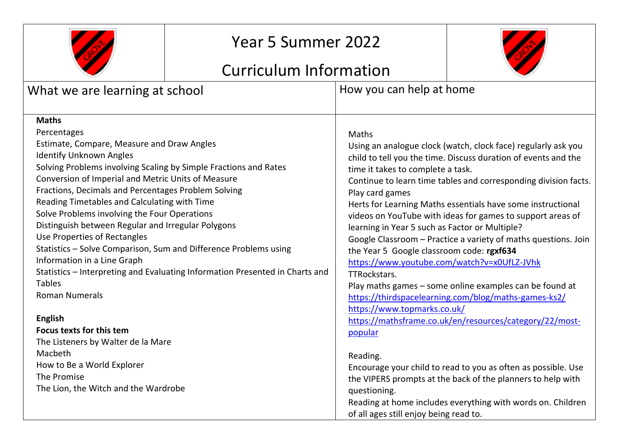

# Year 5 Summer 2022

# Curriculum Information



| What we are learning at school                                                                                                                                                                                                                                                                                                                                                                                                                                                                                                                                                                                                                                                                                                    | How you can help at home                                                                                                                                                                                                                                                                                                                                                                                                                                                                                                                                                                                                                                                                                                                                                                                                                             |  |
|-----------------------------------------------------------------------------------------------------------------------------------------------------------------------------------------------------------------------------------------------------------------------------------------------------------------------------------------------------------------------------------------------------------------------------------------------------------------------------------------------------------------------------------------------------------------------------------------------------------------------------------------------------------------------------------------------------------------------------------|------------------------------------------------------------------------------------------------------------------------------------------------------------------------------------------------------------------------------------------------------------------------------------------------------------------------------------------------------------------------------------------------------------------------------------------------------------------------------------------------------------------------------------------------------------------------------------------------------------------------------------------------------------------------------------------------------------------------------------------------------------------------------------------------------------------------------------------------------|--|
| <b>Maths</b><br>Percentages<br>Estimate, Compare, Measure and Draw Angles<br><b>Identify Unknown Angles</b><br>Solving Problems involving Scaling by Simple Fractions and Rates<br>Conversion of Imperial and Metric Units of Measure<br>Fractions, Decimals and Percentages Problem Solving<br>Reading Timetables and Calculating with Time<br>Solve Problems involving the Four Operations<br>Distinguish between Regular and Irregular Polygons<br>Use Properties of Rectangles<br>Statistics - Solve Comparison, Sum and Difference Problems using<br>Information in a Line Graph<br>Statistics - Interpreting and Evaluating Information Presented in Charts and<br><b>Tables</b><br><b>Roman Numerals</b><br><b>English</b> | <b>Maths</b><br>Using an analogue clock (watch, clock face) regularly ask you<br>child to tell you the time. Discuss duration of events and the<br>time it takes to complete a task.<br>Continue to learn time tables and corresponding division facts.<br>Play card games<br>Herts for Learning Maths essentials have some instructional<br>videos on YouTube with ideas for games to support areas of<br>learning in Year 5 such as Factor or Multiple?<br>Google Classroom - Practice a variety of maths questions. Join<br>the Year 5 Google classroom code: rgxf634<br>https://www.youtube.com/watch?v=x0UfLZ-JVhk<br>TTRockstars.<br>Play maths games - some online examples can be found at<br>https://thirdspacelearning.com/blog/maths-games-ks2/<br>https://www.topmarks.co.uk/<br>https://mathsframe.co.uk/en/resources/category/22/most- |  |
| <b>Focus texts for this tem</b>                                                                                                                                                                                                                                                                                                                                                                                                                                                                                                                                                                                                                                                                                                   | popular                                                                                                                                                                                                                                                                                                                                                                                                                                                                                                                                                                                                                                                                                                                                                                                                                                              |  |
| The Listeners by Walter de la Mare                                                                                                                                                                                                                                                                                                                                                                                                                                                                                                                                                                                                                                                                                                |                                                                                                                                                                                                                                                                                                                                                                                                                                                                                                                                                                                                                                                                                                                                                                                                                                                      |  |
| Macbeth                                                                                                                                                                                                                                                                                                                                                                                                                                                                                                                                                                                                                                                                                                                           | Reading.                                                                                                                                                                                                                                                                                                                                                                                                                                                                                                                                                                                                                                                                                                                                                                                                                                             |  |
| How to Be a World Explorer                                                                                                                                                                                                                                                                                                                                                                                                                                                                                                                                                                                                                                                                                                        | Encourage your child to read to you as often as possible. Use                                                                                                                                                                                                                                                                                                                                                                                                                                                                                                                                                                                                                                                                                                                                                                                        |  |
| The Promise                                                                                                                                                                                                                                                                                                                                                                                                                                                                                                                                                                                                                                                                                                                       | the VIPERS prompts at the back of the planners to help with                                                                                                                                                                                                                                                                                                                                                                                                                                                                                                                                                                                                                                                                                                                                                                                          |  |
| The Lion, the Witch and the Wardrobe                                                                                                                                                                                                                                                                                                                                                                                                                                                                                                                                                                                                                                                                                              | questioning.                                                                                                                                                                                                                                                                                                                                                                                                                                                                                                                                                                                                                                                                                                                                                                                                                                         |  |
|                                                                                                                                                                                                                                                                                                                                                                                                                                                                                                                                                                                                                                                                                                                                   | Reading at home includes everything with words on. Children<br>of all ages still enjoy being read to.                                                                                                                                                                                                                                                                                                                                                                                                                                                                                                                                                                                                                                                                                                                                                |  |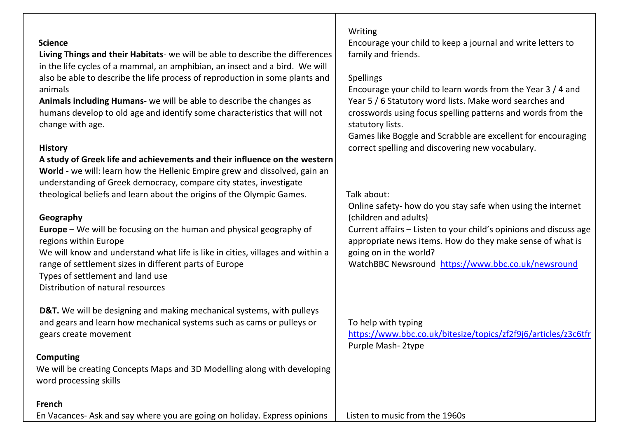| <b>Science</b><br>Living Things and their Habitats- we will be able to describe the differences<br>in the life cycles of a mammal, an amphibian, an insect and a bird. We will<br>also be able to describe the life process of reproduction in some plants and<br>animals<br>Animals including Humans- we will be able to describe the changes as<br>humans develop to old age and identify some characteristics that will not<br>change with age. | Writing<br>Encourage your child to keep a journal and write letters to<br>family and friends.<br><b>Spellings</b><br>Encourage your child to learn words from the Year 3 / 4 and<br>Year 5 / 6 Statutory word lists. Make word searches and<br>crosswords using focus spelling patterns and words from the<br>statutory lists.<br>Games like Boggle and Scrabble are excellent for encouraging |
|----------------------------------------------------------------------------------------------------------------------------------------------------------------------------------------------------------------------------------------------------------------------------------------------------------------------------------------------------------------------------------------------------------------------------------------------------|------------------------------------------------------------------------------------------------------------------------------------------------------------------------------------------------------------------------------------------------------------------------------------------------------------------------------------------------------------------------------------------------|
| <b>History</b>                                                                                                                                                                                                                                                                                                                                                                                                                                     | correct spelling and discovering new vocabulary.                                                                                                                                                                                                                                                                                                                                               |
| A study of Greek life and achievements and their influence on the western<br>World - we will: learn how the Hellenic Empire grew and dissolved, gain an<br>understanding of Greek democracy, compare city states, investigate                                                                                                                                                                                                                      | Talk about:                                                                                                                                                                                                                                                                                                                                                                                    |
| theological beliefs and learn about the origins of the Olympic Games.                                                                                                                                                                                                                                                                                                                                                                              | Online safety- how do you stay safe when using the internet                                                                                                                                                                                                                                                                                                                                    |
| Geography                                                                                                                                                                                                                                                                                                                                                                                                                                          | (children and adults)                                                                                                                                                                                                                                                                                                                                                                          |
| <b>Europe</b> – We will be focusing on the human and physical geography of<br>regions within Europe<br>We will know and understand what life is like in cities, villages and within a<br>range of settlement sizes in different parts of Europe<br>Types of settlement and land use<br>Distribution of natural resources                                                                                                                           | Current affairs - Listen to your child's opinions and discuss age<br>appropriate news items. How do they make sense of what is<br>going on in the world?<br>WatchBBC Newsround https://www.bbc.co.uk/newsround                                                                                                                                                                                 |
|                                                                                                                                                                                                                                                                                                                                                                                                                                                    |                                                                                                                                                                                                                                                                                                                                                                                                |
| D&T. We will be designing and making mechanical systems, with pulleys<br>and gears and learn how mechanical systems such as cams or pulleys or<br>gears create movement                                                                                                                                                                                                                                                                            | To help with typing<br>https://www.bbc.co.uk/bitesize/topics/zf2f9j6/articles/z3c6tfr<br>Purple Mash-2type                                                                                                                                                                                                                                                                                     |
| <b>Computing</b>                                                                                                                                                                                                                                                                                                                                                                                                                                   |                                                                                                                                                                                                                                                                                                                                                                                                |
| We will be creating Concepts Maps and 3D Modelling along with developing<br>word processing skills                                                                                                                                                                                                                                                                                                                                                 |                                                                                                                                                                                                                                                                                                                                                                                                |
| French                                                                                                                                                                                                                                                                                                                                                                                                                                             |                                                                                                                                                                                                                                                                                                                                                                                                |
| En Vacances- Ask and say where you are going on holiday. Express opinions                                                                                                                                                                                                                                                                                                                                                                          | Listen to music from the 1960s                                                                                                                                                                                                                                                                                                                                                                 |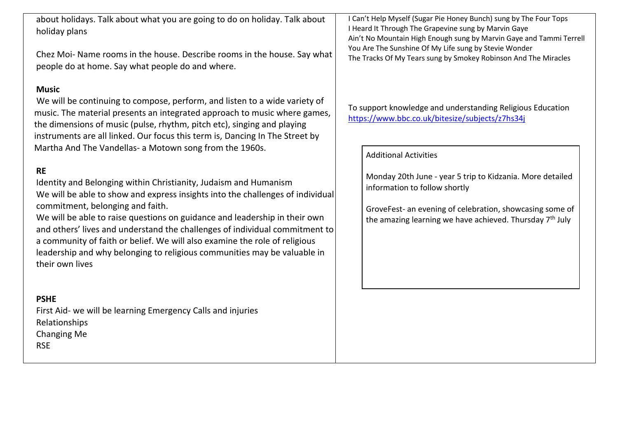about holidays. Talk about what you are going to do on holiday. Talk about holiday plans

Chez Moi- Name rooms in the house. Describe rooms in the house. Say what people do at home. Say what people do and where.

#### **Music**

We will be continuing to compose, perform, and listen to a wide variety of music. The material presents an integrated approach to music where games, the dimensions of music (pulse, rhythm, pitch etc), singing and playing instruments are all linked. Our focus this term is, Dancing In The Street by Martha And The Vandellas- a Motown song from the 1960s.

### **RE**

Identity and Belonging within Christianity, Judaism and Humanism We will be able to show and express insights into the challenges of individual commitment, belonging and faith.

We will be able to raise questions on guidance and leadership in their own and others' lives and understand the challenges of individual commitment to a community of faith or belief. We will also examine the role of religious leadership and why belonging to religious communities may be valuable in their own lives

#### **PSHE**

First Aid- we will be learning Emergency Calls and injuries Relationships Changing Me RSE

I Can't Help Myself (Sugar Pie Honey Bunch) sung by The Four Tops I Heard It Through The Grapevine sung by Marvin Gaye Ain't No Mountain High Enough sung by Marvin Gaye and Tammi Terrell You Are The Sunshine Of My Life sung by Stevie Wonder The Tracks Of My Tears sung by Smokey Robinson And The Miracles

To support knowledge and understanding Religious Education <https://www.bbc.co.uk/bitesize/subjects/z7hs34j>

Additional Activities

Monday 20th June - year 5 trip to Kidzania. More detailed information to follow shortly

GroveFest- an evening of celebration, showcasing some of the amazing learning we have achieved. Thursday  $7<sup>th</sup>$  July